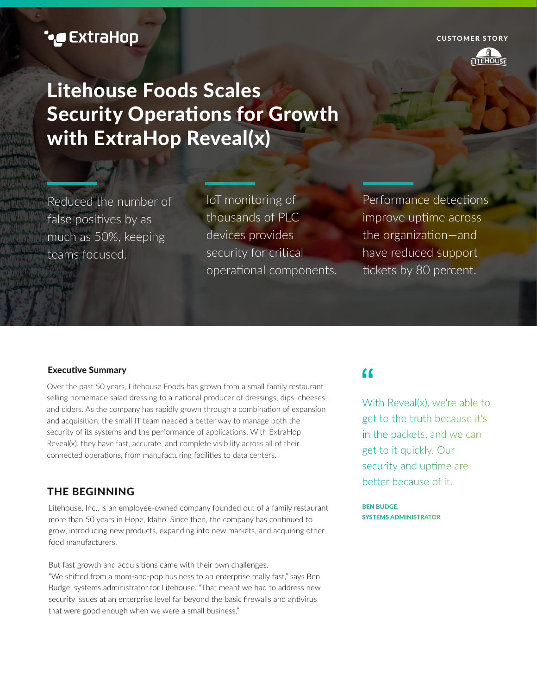CUSTOMER STORY



# Litehouse Foods Scales Security Operations for Growth with ExtraHop Reveal(x) **Formulation Scales**<br> **Formulation Scales**<br> **Formulation Scales**<br> **Formulation Scales**<br> **Formulation Scales**<br> **Formulation Scales**<br> **Formulation Scales**<br> **Formulation Scales**<br> **Formulation Scales**<br> **Example 2**<br> **Example 2**

Reduced the number of false positives by as much as 50%, keeping teams focused.

IoT monitoring of thousands of PLC devices provides security for critical operational components.

Performance detections improve uptime across the organization—and have reduced support tickets by 80 percent.

# Executive Summary

Over the past 50 years, Litehouse Foods has grown from a small family restaurant selling homemade salad dressing to a national producer of dressings, dips, cheeses, and ciders. As the company has rapidly grown through a combination of expansion and acquisition, the small IT team needed a better way to manage both the security of its systems and the performance of applications. With ExtraHop Reveal(x), they have fast, accurate, and complete visibility across all of their connected operations, from manufacturing facilities to data centers.

# THE BEGINNING

Litehouse, Inc., is an employee-owned company founded out of a family restaurant more than 50 years in Hope, Idaho. Since then, the company has continued to grow, introducing new products, expanding into new markets, and acquiring other food manufacturers.

But fast growth and acquisitions came with their own challenges. "We shifted from a mom-and-pop business to an enterprise really fast," says Ben Budge, systems administrator for Litehouse. "That meant we had to address new security issues at an enterprise level far beyond the basic firewalls and antivirus that were good enough when we were a small business."

# $\epsilon$

With Reveal(x), we're able to get to the truth because it's in the packets, and we can get to it quickly. Our security and uptime are better because of it.

**BEN BUDGE. SYSTEMS ADMINISTRATOR**